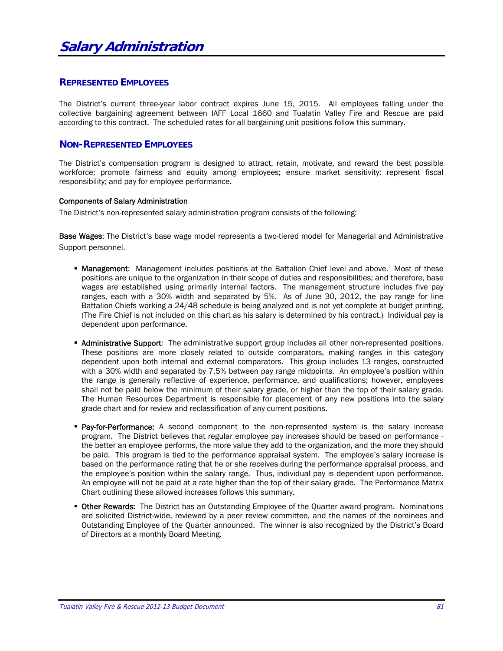# **REPRESENTED EMPLOYEES**

The District's current three-year labor contract expires June 15, 2015. All employees falling under the collective bargaining agreement between IAFF Local 1660 and Tualatin Valley Fire and Rescue are paid according to this contract. The scheduled rates for all bargaining unit positions follow this summary.

# **NON-REPRESENTED EMPLOYEES**

The District's compensation program is designed to attract, retain, motivate, and reward the best possible workforce; promote fairness and equity among employees; ensure market sensitivity; represent fiscal responsibility; and pay for employee performance.

## Components of Salary Administration

The District's non-represented salary administration program consists of the following:

**Base Wages:** The District's base wage model represents a two-tiered model for Managerial and Administrative Support personnel.

- **Management:** Management includes positions at the Battalion Chief level and above. Most of these positions are unique to the organization in their scope of duties and responsibilities; and therefore, base wages are established using primarily internal factors. The management structure includes five pay ranges, each with a 30% width and separated by 5%. As of June 30, 2012, the pay range for line Battalion Chiefs working a 24/48 schedule is being analyzed and is not yet complete at budget printing. (The Fire Chief is not included on this chart as his salary is determined by his contract.) Individual pay is dependent upon performance.
- Administrative Support*:* The administrative support group includes all other non-represented positions. These positions are more closely related to outside comparators, making ranges in this category dependent upon both internal and external comparators. This group includes 13 ranges, constructed with a 30% width and separated by 7.5% between pay range midpoints. An employee's position within the range is generally reflective of experience, performance, and qualifications; however, employees shall not be paid below the minimum of their salary grade, or higher than the top of their salary grade. The Human Resources Department is responsible for placement of any new positions into the salary grade chart and for review and reclassification of any current positions.
- **Pay-for-Performance:** A second component to the non-represented system is the salary increase program. The District believes that regular employee pay increases should be based on performance the better an employee performs, the more value they add to the organization, and the more they should be paid. This program is tied to the performance appraisal system. The employee's salary increase is based on the performance rating that he or she receives during the performance appraisal process, and the employee's position within the salary range. Thus, individual pay is dependent upon performance. An employee will not be paid at a rate higher than the top of their salary grade. The Performance Matrix Chart outlining these allowed increases follows this summary.
- **Other Rewards:** The District has an Outstanding Employee of the Quarter award program. Nominations are solicited District-wide, reviewed by a peer review committee, and the names of the nominees and Outstanding Employee of the Quarter announced. The winner is also recognized by the District's Board of Directors at a monthly Board Meeting.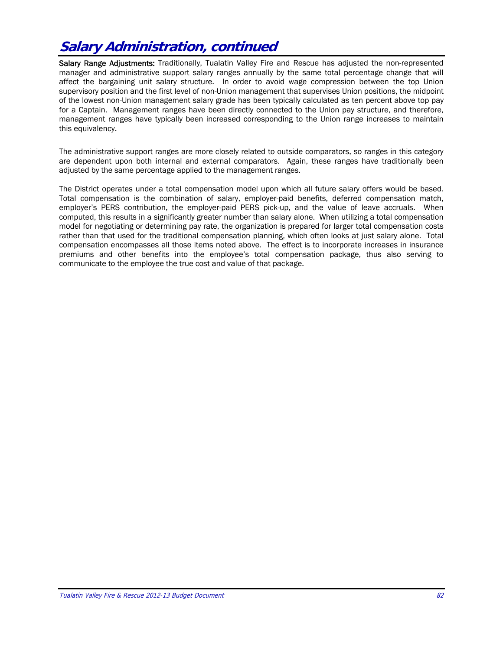# **Salary Administration, continued**

Salary Range Adjustments: Traditionally, Tualatin Valley Fire and Rescue has adjusted the non-represented manager and administrative support salary ranges annually by the same total percentage change that will affect the bargaining unit salary structure. In order to avoid wage compression between the top Union supervisory position and the first level of non-Union management that supervises Union positions, the midpoint of the lowest non-Union management salary grade has been typically calculated as ten percent above top pay for a Captain. Management ranges have been directly connected to the Union pay structure, and therefore, management ranges have typically been increased corresponding to the Union range increases to maintain this equivalency.

The administrative support ranges are more closely related to outside comparators, so ranges in this category are dependent upon both internal and external comparators. Again, these ranges have traditionally been adjusted by the same percentage applied to the management ranges.

The District operates under a total compensation model upon which all future salary offers would be based. Total compensation is the combination of salary, employer-paid benefits, deferred compensation match, employer's PERS contribution, the employer-paid PERS pick-up, and the value of leave accruals. When computed, this results in a significantly greater number than salary alone. When utilizing a total compensation model for negotiating or determining pay rate, the organization is prepared for larger total compensation costs rather than that used for the traditional compensation planning, which often looks at just salary alone. Total compensation encompasses all those items noted above. The effect is to incorporate increases in insurance premiums and other benefits into the employee's total compensation package, thus also serving to communicate to the employee the true cost and value of that package.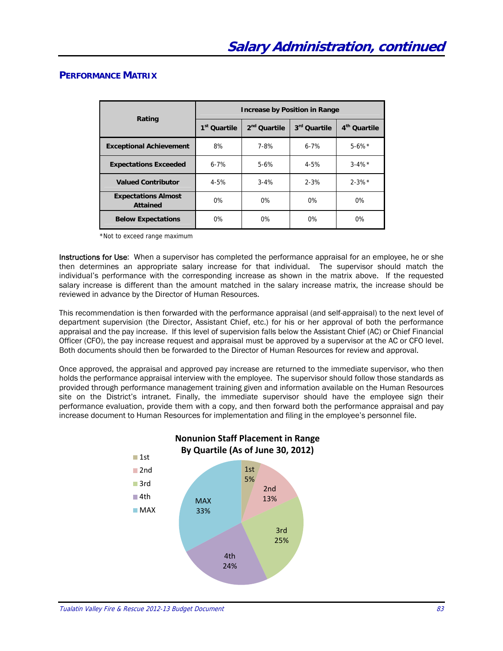# **PERFORMANCE MATRIX**

|                                               |                          | <b>Increase by Position in Range</b> |              |                          |
|-----------------------------------------------|--------------------------|--------------------------------------|--------------|--------------------------|
| Rating                                        | 1 <sup>st</sup> Ouartile | 2 <sup>nd</sup> Quartile             | 3rd Quartile | 4 <sup>th</sup> Quartile |
| <b>Exceptional Achievement</b>                | 8%                       | 7-8%                                 | $6 - 7%$     | $5 - 6\%$ *              |
| <b>Expectations Exceeded</b>                  | $6 - 7%$                 | $5-6%$                               | $4 - 5%$     | $3 - 4\%$ *              |
| <b>Valued Contributor</b>                     | $4 - 5%$                 | $3 - 4%$                             | $2 - 3%$     | $2 - 3\%$ *              |
| <b>Expectations Almost</b><br><b>Attained</b> | $0\%$                    | $0\%$                                | $0\%$        | $0\%$                    |
| <b>Below Expectations</b>                     | $0\%$                    | 0%                                   | $0\%$        | $0\%$                    |

\*Not to exceed range maximum

Instructions for Use: When a supervisor has completed the performance appraisal for an employee, he or she then determines an appropriate salary increase for that individual. The supervisor should match the individual's performance with the corresponding increase as shown in the matrix above. If the requested salary increase is different than the amount matched in the salary increase matrix, the increase should be reviewed in advance by the Director of Human Resources.

This recommendation is then forwarded with the performance appraisal (and self-appraisal) to the next level of department supervision (the Director, Assistant Chief, etc.) for his or her approval of both the performance appraisal and the pay increase. If this level of supervision falls below the Assistant Chief (AC) or Chief Financial Officer (CFO), the pay increase request and appraisal must be approved by a supervisor at the AC or CFO level. Both documents should then be forwarded to the Director of Human Resources for review and approval.

Once approved, the appraisal and approved pay increase are returned to the immediate supervisor, who then holds the performance appraisal interview with the employee. The supervisor should follow those standards as provided through performance management training given and information available on the Human Resources site on the District's intranet. Finally, the immediate supervisor should have the employee sign their performance evaluation, provide them with a copy, and then forward both the performance appraisal and pay increase document to Human Resources for implementation and filing in the employee's personnel file.

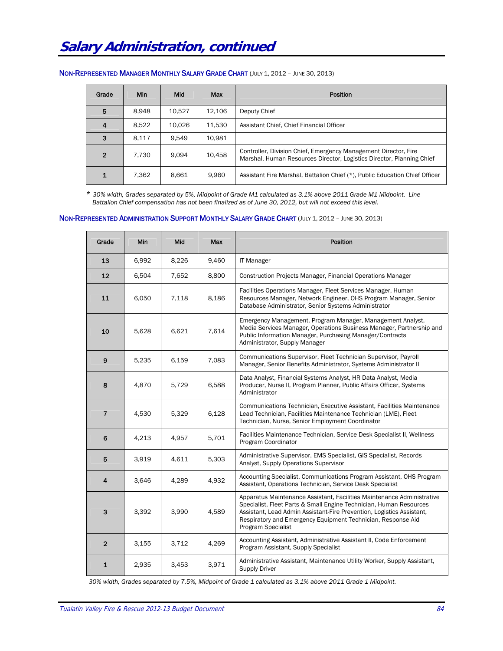|  |  |  | NON-REPRESENTED MANAGER MONTHLY SALARY GRADE CHART (JULY 1, 2012 - JUNE 30, 2013) |  |
|--|--|--|-----------------------------------------------------------------------------------|--|
|--|--|--|-----------------------------------------------------------------------------------|--|

| Grade        | <b>Min</b> | Mid    | Max    | <b>Position</b>                                                                                                                          |
|--------------|------------|--------|--------|------------------------------------------------------------------------------------------------------------------------------------------|
| 5            | 8.948      | 10.527 | 12.106 | Deputy Chief                                                                                                                             |
|              | 8.522      | 10.026 | 11.530 | Assistant Chief, Chief Financial Officer                                                                                                 |
| 3            | 8.117      | 9.549  | 10.981 |                                                                                                                                          |
| $\mathbf{2}$ | 7.730      | 9.094  | 10,458 | Controller, Division Chief, Emergency Management Director, Fire<br>Marshal, Human Resources Director, Logistics Director, Planning Chief |
|              | 7.362      | 8,661  | 9.960  | Assistant Fire Marshal, Battalion Chief (*), Public Education Chief Officer                                                              |

 *\* 30% width, Grades separated by 5%, Midpoint of Grade M1 calculated as 3.1% above 2011 Grade M1 Midpoint. Line Battalion Chief compensation has not been finalized as of June 30, 2012, but will not exceed this level.* 

#### NON-REPRESENTED ADMINISTRATION SUPPORT MONTHLY SALARY GRADE CHART (JULY 1, 2012 – JUNE 30, 2013)

| Grade          | Min   | <b>Mid</b> | Max   | <b>Position</b>                                                                                                                                                                                                                                                                                             |
|----------------|-------|------------|-------|-------------------------------------------------------------------------------------------------------------------------------------------------------------------------------------------------------------------------------------------------------------------------------------------------------------|
| 13             | 6,992 | 8,226      | 9,460 | <b>IT Manager</b>                                                                                                                                                                                                                                                                                           |
| 12             | 6,504 | 7,652      | 8,800 | <b>Construction Projects Manager, Financial Operations Manager</b>                                                                                                                                                                                                                                          |
| 11             | 6,050 | 7,118      | 8,186 | Facilities Operations Manager, Fleet Services Manager, Human<br>Resources Manager, Network Engineer, OHS Program Manager, Senior<br>Database Administrator, Senior Systems Administrator                                                                                                                    |
| 10             | 5,628 | 6,621      | 7,614 | Emergency Management. Program Manager, Management Analyst,<br>Media Services Manager, Operations Business Manager, Partnership and<br>Public Information Manager, Purchasing Manager/Contracts<br>Administrator, Supply Manager                                                                             |
| 9              | 5,235 | 6,159      | 7,083 | Communications Supervisor, Fleet Technician Supervisor, Payroll<br>Manager, Senior Benefits Administrator, Systems Administrator II                                                                                                                                                                         |
| 8              | 4,870 | 5,729      | 6,588 | Data Analyst, Financial Systems Analyst, HR Data Analyst, Media<br>Producer, Nurse II, Program Planner, Public Affairs Officer, Systems<br>Administrator                                                                                                                                                    |
| $\overline{7}$ | 4,530 | 5,329      | 6,128 | Communications Technician, Executive Assistant, Facilities Maintenance<br>Lead Technician, Facilities Maintenance Technician (LME), Fleet<br>Technician, Nurse, Senior Employment Coordinator                                                                                                               |
| 6              | 4,213 | 4,957      | 5,701 | Facilities Maintenance Technician, Service Desk Specialist II, Wellness<br>Program Coordinator                                                                                                                                                                                                              |
| 5              | 3,919 | 4,611      | 5,303 | Administrative Supervisor, EMS Specialist, GIS Specialist, Records<br>Analyst, Supply Operations Supervisor                                                                                                                                                                                                 |
| 4              | 3,646 | 4,289      | 4,932 | Accounting Specialist, Communications Program Assistant, OHS Program<br>Assistant, Operations Technician, Service Desk Specialist                                                                                                                                                                           |
| 3              | 3,392 | 3,990      | 4,589 | Apparatus Maintenance Assistant, Facilities Maintenance Administrative<br>Specialist, Fleet Parts & Small Engine Technician, Human Resources<br>Assistant, Lead Admin Assistant-Fire Prevention, Logistics Assistant,<br>Respiratory and Emergency Equipment Technician, Response Aid<br>Program Specialist |
| $\overline{2}$ | 3,155 | 3,712      | 4,269 | Accounting Assistant, Administrative Assistant II, Code Enforcement<br>Program Assistant, Supply Specialist                                                                                                                                                                                                 |
| 1              | 2.935 | 3,453      | 3,971 | Administrative Assistant, Maintenance Utility Worker, Supply Assistant,<br><b>Supply Driver</b>                                                                                                                                                                                                             |

*30% width, Grades separated by 7.5%, Midpoint of Grade 1 calculated as 3.1% above 2011 Grade 1 Midpoint.*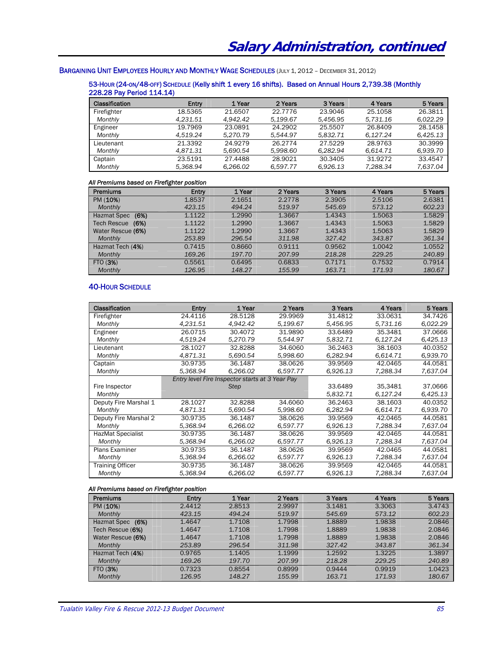# BARGAINING UNIT EMPLOYEES HOURLY AND MONTHLY WAGE SCHEDULES (JULY 1, 2012 - DECEMBER 31, 2012)

### 53-HOUR (24-ON/48-OFF) SCHEDULE (Kelly shift 1 every 16 shifts). Based on Annual Hours 2,739.38 (Monthly 228.28 Pay Period 114.14)

| <b>Classification</b> | <b>Entry</b> | 1 Year   | 2 Years  | 3 Years  | 4 Years  | 5 Years  |
|-----------------------|--------------|----------|----------|----------|----------|----------|
| Firefighter           | 18.5365      | 21.6507  | 22,7776  | 23.9046  | 25.1058  | 26.3811  |
| Monthly               | 4.231.51     | 4.942.42 | 5.199.67 | 5,456.95 | 5.731.16 | 6.022.29 |
| Engineer              | 19.7969      | 23.0891  | 24.2902  | 25.5507  | 26.8409  | 28.1458  |
| Monthly               | 4.519.24     | 5.270.79 | 5.544.97 | 5.832.71 | 6.127.24 | 6.425.13 |
| Lieutenant            | 21.3392      | 24.9279  | 26.2774  | 27.5229  | 28.9763  | 30.3999  |
| Monthly               | 4.871.31     | 5.690.54 | 5.998.60 | 6.282.94 | 6.614.71 | 6,939.70 |
| Captain               | 23.5191      | 27.4488  | 28.9021  | 30.3405  | 31.9272  | 33.4547  |
| Monthly               | 5.368.94     | 6.266.02 | 6.597.77 | 6.926.13 | 7.288.34 | 7.637.04 |

#### *All Premiums based on Firefighter position*

| Premiums            | Entry  | 1 Year | 2 Years | 3 Years | 4 Years | 5 Years |
|---------------------|--------|--------|---------|---------|---------|---------|
| PM (10%)            | 1.8537 | 2.1651 | 2.2778  | 2.3905  | 2.5106  | 2.6381  |
| <b>Monthly</b>      | 423.15 | 494.24 | 519.97  | 545.69  | 573.12  | 602.23  |
| (6%)<br>Hazmat Spec | 1.1122 | 1.2990 | 1.3667  | 1.4343  | 1.5063  | 1.5829  |
| Tech Rescue<br>(6%) | 1.1122 | 1.2990 | 1.3667  | 1.4343  | 1.5063  | 1.5829  |
| Water Rescue (6%)   | 1.1122 | 1.2990 | 1.3667  | 1.4343  | 1.5063  | 1.5829  |
| Monthly             | 253.89 | 296.54 | 311.98  | 327.42  | 343.87  | 361.34  |
| Hazmat Tech (4%)    | 0.7415 | 0.8660 | 0.9111  | 0.9562  | 1.0042  | 1.0552  |
| Monthly             | 169.26 | 197.70 | 207.99  | 218.28  | 229.25  | 240.89  |
| FTO (3%)            | 0.5561 | 0.6495 | 0.6833  | 0.7171  | 0.7532  | 0.7914  |
| Monthly             | 126.95 | 148.27 | 155.99  | 163.71  | 171.93  | 180.67  |

## 40-HOUR SCHEDULE

| <b>Classification</b>    | Entry    | 1 Year                                          | 2 Years  | 3 Years  | 4 Years  | 5 Years  |
|--------------------------|----------|-------------------------------------------------|----------|----------|----------|----------|
| Firefighter              | 24.4116  | 28.5128                                         | 29.9969  | 31.4812  | 33.0631  | 34.7426  |
| Monthly                  | 4.231.51 | 4.942.42                                        | 5.199.67 | 5.456.95 | 5.731.16 | 6.022.29 |
| Engineer                 | 26.0715  | 30.4072                                         | 31.9890  | 33.6489  | 35.3481  | 37.0666  |
| Monthly                  | 4,519.24 | 5,270.79                                        | 5,544.97 | 5,832.71 | 6,127.24 | 6,425.13 |
| Lieutenant               | 28.1027  | 32.8288                                         | 34,6060  | 36.2463  | 38.1603  | 40.0352  |
| Monthly                  | 4,871.31 | 5,690.54                                        | 5,998.60 | 6,282.94 | 6,614.71 | 6,939.70 |
| Captain                  | 30.9735  | 36.1487                                         | 38.0626  | 39.9569  | 42.0465  | 44.0581  |
| Monthly                  | 5.368.94 | 6.266.02                                        | 6.597.77 | 6.926.13 | 7,288.34 | 7.637.04 |
|                          |          | Entry level Fire Inspector starts at 3 Year Pay |          |          |          |          |
| Fire Inspector           |          | <b>Step</b>                                     |          | 33.6489  | 35,3481  | 37,0666  |
| Monthly                  |          |                                                 |          | 5,832.71 | 6,127.24 | 6,425.13 |
| Deputy Fire Marshal 1    | 28.1027  | 32.8288                                         | 34,6060  | 36.2463  | 38.1603  | 40.0352  |
| Monthly                  | 4,871.31 | 5,690.54                                        | 5,998.60 | 6,282.94 | 6.614.71 | 6,939.70 |
| Deputy Fire Marshal 2    | 30.9735  | 36.1487                                         | 38.0626  | 39.9569  | 42.0465  | 44.0581  |
| Monthly                  | 5.368.94 | 6.266.02                                        | 6.597.77 | 6.926.13 | 7.288.34 | 7,637.04 |
| <b>HazMat Specialist</b> | 30.9735  | 36.1487                                         | 38.0626  | 39.9569  | 42.0465  | 44.0581  |
| Monthly                  | 5,368.94 | 6,266.02                                        | 6,597.77 | 6,926.13 | 7,288.34 | 7.637.04 |
| <b>Plans Examiner</b>    | 30.9735  | 36.1487                                         | 38.0626  | 39.9569  | 42.0465  | 44.0581  |
| Monthly                  | 5,368.94 | 6,266.02                                        | 6,597.77 | 6,926.13 | 7,288.34 | 7.637.04 |
| <b>Training Officer</b>  | 30.9735  | 36.1487                                         | 38.0626  | 39.9569  | 42.0465  | 44.0581  |
| Monthly                  | 5,368.94 | 6,266.02                                        | 6,597.77 | 6,926.13 | 7,288.34 | 7.637.04 |

#### *All Premiums based on Firefighter position*

|                     | -      |        |         |         |         |         |
|---------------------|--------|--------|---------|---------|---------|---------|
| <b>Premiums</b>     | Entry  | 1 Year | 2 Years | 3 Years | 4 Years | 5 Years |
| PM (10%)            | 2.4412 | 2.8513 | 2.9997  | 3.1481  | 3.3063  | 3.4743  |
| Monthly             | 423.15 | 494.24 | 519.97  | 545.69  | 573.12  | 602.23  |
| (6%)<br>Hazmat Spec | 1.4647 | 1.7108 | 1.7998  | 1.8889  | 1.9838  | 2.0846  |
| Tech Rescue (6%)    | 1.4647 | 1.7108 | 1.7998  | 1.8889  | 1.9838  | 2.0846  |
| Water Rescue (6%)   | 1.4647 | 1.7108 | 1.7998  | 1.8889  | 1.9838  | 2.0846  |
| Monthly             | 253.89 | 296.54 | 311.98  | 327.42  | 343.87  | 361.34  |
| Hazmat Tech (4%)    | 0.9765 | 1.1405 | 1.1999  | 1.2592  | 1.3225  | 1.3897  |
| Monthly             | 169.26 | 197.70 | 207.99  | 218.28  | 229.25  | 240.89  |
| FTO (3%)            | 0.7323 | 0.8554 | 0.8999  | 0.9444  | 0.9919  | 1.0423  |
| Monthly             | 126.95 | 148.27 | 155.99  | 163.71  | 171.93  | 180.67  |